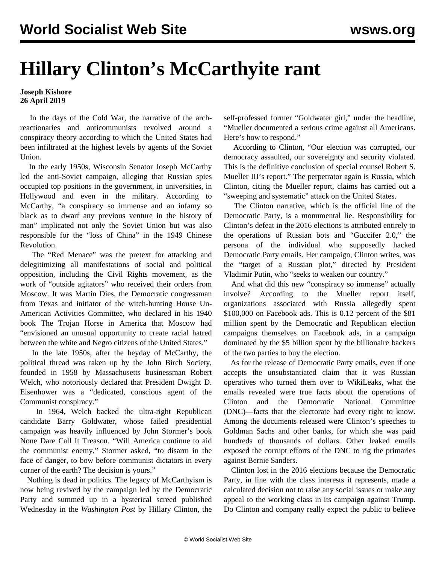## **Hillary Clinton's McCarthyite rant**

## **Joseph Kishore 26 April 2019**

 In the days of the Cold War, the narrative of the archreactionaries and anticommunists revolved around a conspiracy theory according to which the United States had been infiltrated at the highest levels by agents of the Soviet Union.

 In the early 1950s, Wisconsin Senator Joseph McCarthy led the anti-Soviet campaign, alleging that Russian spies occupied top positions in the government, in universities, in Hollywood and even in the military. According to McCarthy, "a conspiracy so immense and an infamy so black as to dwarf any previous venture in the history of man" implicated not only the Soviet Union but was also responsible for the "loss of China" in the 1949 Chinese Revolution.

 The "Red Menace" was the pretext for attacking and delegitimizing all manifestations of social and political opposition, including the Civil Rights movement, as the work of "outside agitators" who received their orders from Moscow. It was Martin Dies, the Democratic congressman from Texas and initiator of the witch-hunting House Un-American Activities Committee, who declared in his 1940 book The Trojan Horse in America that Moscow had "envisioned an unusual opportunity to create racial hatred between the white and Negro citizens of the United States."

 In the late 1950s, after the heyday of McCarthy, the political thread was taken up by the John Birch Society, founded in 1958 by Massachusetts businessman Robert Welch, who notoriously declared that President Dwight D. Eisenhower was a "dedicated, conscious agent of the Communist conspiracy."

 In 1964, Welch backed the ultra-right Republican candidate Barry Goldwater, whose failed presidential campaign was heavily influenced by John Stormer's book None Dare Call It Treason. "Will America continue to aid the communist enemy," Stormer asked, "to disarm in the face of danger, to bow before communist dictators in every corner of the earth? The decision is yours."

 Nothing is dead in politics. The legacy of McCarthyism is now being revived by the campaign led by the Democratic Party and summed up in a hysterical screed published Wednesday in the *Washington Post* by Hillary Clinton, the self-professed former "Goldwater girl," under the headline, "Mueller documented a serious crime against all Americans. Here's how to respond."

 According to Clinton, "Our election was corrupted, our democracy assaulted, our sovereignty and security violated. This is the definitive conclusion of special counsel Robert S. Mueller III's report." The perpetrator again is Russia, which Clinton, citing the Mueller report, claims has carried out a "sweeping and systematic" attack on the United States.

 The Clinton narrative, which is the official line of the Democratic Party, is a monumental lie. Responsibility for Clinton's defeat in the 2016 elections is attributed entirely to the operations of Russian bots and "Guccifer 2.0," the persona of the individual who supposedly hacked Democratic Party emails. Her campaign, Clinton writes, was the "target of a Russian plot," directed by President Vladimir Putin, who "seeks to weaken our country."

 And what did this new "conspiracy so immense" actually involve? According to the Mueller report itself, organizations associated with Russia allegedly spent \$100,000 on Facebook ads. This is 0.12 percent of the \$81 million spent by the Democratic and Republican election campaigns themselves on Facebook ads, in a campaign dominated by the \$5 billion spent by the billionaire backers of the two parties to buy the election.

 As for the release of Democratic Party emails, even if one accepts the unsubstantiated claim that it was Russian operatives who turned them over to WikiLeaks, what the emails revealed were true facts about the operations of Clinton and the Democratic National Committee (DNC)—facts that the electorate had every right to know. Among the documents released were Clinton's speeches to Goldman Sachs and other banks, for which she was paid hundreds of thousands of dollars. Other leaked emails exposed the corrupt efforts of the DNC to rig the primaries against Bernie Sanders.

 Clinton lost in the 2016 elections because the Democratic Party, in line with the class interests it represents, made a calculated decision not to raise any social issues or make any appeal to the working class in its campaign against Trump. Do Clinton and company really expect the public to believe